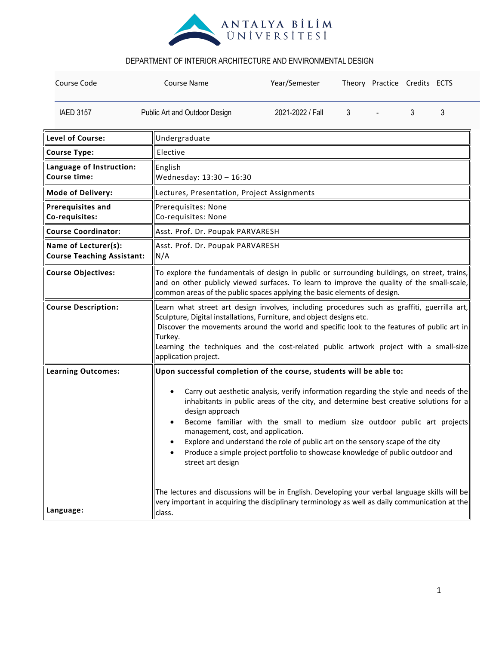

| Course Code                                                                                                                                                                                                                                                                                                                                                                                                                                                                                                               | Course Name                                                         | Year/Semester                                                                                                                                                                                                                                                                                                                                               |   | Theory Practice Credits ECTS |   |   |  |  |
|---------------------------------------------------------------------------------------------------------------------------------------------------------------------------------------------------------------------------------------------------------------------------------------------------------------------------------------------------------------------------------------------------------------------------------------------------------------------------------------------------------------------------|---------------------------------------------------------------------|-------------------------------------------------------------------------------------------------------------------------------------------------------------------------------------------------------------------------------------------------------------------------------------------------------------------------------------------------------------|---|------------------------------|---|---|--|--|
| <b>IAED 3157</b>                                                                                                                                                                                                                                                                                                                                                                                                                                                                                                          | Public Art and Outdoor Design                                       |                                                                                                                                                                                                                                                                                                                                                             | 3 |                              | 3 | 3 |  |  |
| Level of Course:                                                                                                                                                                                                                                                                                                                                                                                                                                                                                                          | Undergraduate                                                       |                                                                                                                                                                                                                                                                                                                                                             |   |                              |   |   |  |  |
| Course Type:                                                                                                                                                                                                                                                                                                                                                                                                                                                                                                              | Elective                                                            |                                                                                                                                                                                                                                                                                                                                                             |   |                              |   |   |  |  |
| Language of Instruction:<br>Course time:                                                                                                                                                                                                                                                                                                                                                                                                                                                                                  | English<br>Wednesday: 13:30 - 16:30                                 |                                                                                                                                                                                                                                                                                                                                                             |   |                              |   |   |  |  |
| <b>Mode of Delivery:</b>                                                                                                                                                                                                                                                                                                                                                                                                                                                                                                  |                                                                     | Lectures, Presentation, Project Assignments                                                                                                                                                                                                                                                                                                                 |   |                              |   |   |  |  |
| <b>Prerequisites and</b><br>Co-requisites:                                                                                                                                                                                                                                                                                                                                                                                                                                                                                | Prerequisites: None<br>Co-requisites: None                          |                                                                                                                                                                                                                                                                                                                                                             |   |                              |   |   |  |  |
| <b>Course Coordinator:</b>                                                                                                                                                                                                                                                                                                                                                                                                                                                                                                |                                                                     | Asst. Prof. Dr. Poupak PARVARESH                                                                                                                                                                                                                                                                                                                            |   |                              |   |   |  |  |
| Name of Lecturer(s):<br><b>Course Teaching Assistant:</b>                                                                                                                                                                                                                                                                                                                                                                                                                                                                 | Asst. Prof. Dr. Poupak PARVARESH<br>N/A                             |                                                                                                                                                                                                                                                                                                                                                             |   |                              |   |   |  |  |
| <b>Course Objectives:</b>                                                                                                                                                                                                                                                                                                                                                                                                                                                                                                 |                                                                     | To explore the fundamentals of design in public or surrounding buildings, on street, trains,<br>and on other publicly viewed surfaces. To learn to improve the quality of the small-scale,<br>common areas of the public spaces applying the basic elements of design.                                                                                      |   |                              |   |   |  |  |
| <b>Course Description:</b>                                                                                                                                                                                                                                                                                                                                                                                                                                                                                                | Turkey.<br>application project.                                     | Learn what street art design involves, including procedures such as graffiti, guerrilla art,<br>Sculpture, Digital installations, Furniture, and object designs etc.<br>Discover the movements around the world and specific look to the features of public art in<br>Learning the techniques and the cost-related public artwork project with a small-size |   |                              |   |   |  |  |
| <b>Learning Outcomes:</b>                                                                                                                                                                                                                                                                                                                                                                                                                                                                                                 | Upon successful completion of the course, students will be able to: |                                                                                                                                                                                                                                                                                                                                                             |   |                              |   |   |  |  |
| Carry out aesthetic analysis, verify information regarding the style and needs of the<br>$\bullet$<br>inhabitants in public areas of the city, and determine best creative solutions for a<br>design approach<br>Become familiar with the small to medium size outdoor public art projects<br>management, cost, and application.<br>Explore and understand the role of public art on the sensory scape of the city<br>Produce a simple project portfolio to showcase knowledge of public outdoor and<br>street art design |                                                                     |                                                                                                                                                                                                                                                                                                                                                             |   |                              |   |   |  |  |
| The lectures and discussions will be in English. Developing your verbal language skills will be<br>very important in acquiring the disciplinary terminology as well as daily communication at the<br>Language:<br>class.                                                                                                                                                                                                                                                                                                  |                                                                     |                                                                                                                                                                                                                                                                                                                                                             |   |                              |   |   |  |  |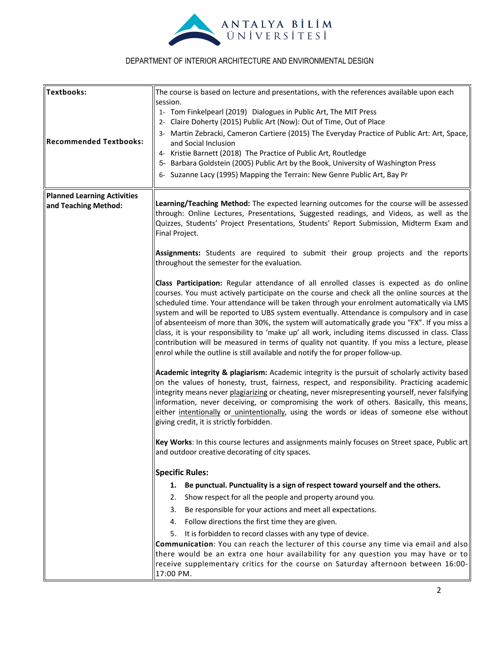

| <b>Textbooks:</b>                  | The course is based on lecture and presentations, with the references available upon each                                                                                                                                                                                                                                                                                                                                                                                                                                                                                                                                                                                                                                                                                     |  |  |  |  |  |
|------------------------------------|-------------------------------------------------------------------------------------------------------------------------------------------------------------------------------------------------------------------------------------------------------------------------------------------------------------------------------------------------------------------------------------------------------------------------------------------------------------------------------------------------------------------------------------------------------------------------------------------------------------------------------------------------------------------------------------------------------------------------------------------------------------------------------|--|--|--|--|--|
|                                    | session.                                                                                                                                                                                                                                                                                                                                                                                                                                                                                                                                                                                                                                                                                                                                                                      |  |  |  |  |  |
|                                    | 1- Tom Finkelpearl (2019) Dialogues in Public Art, The MIT Press<br>2- Claire Doherty (2015) Public Art (Now): Out of Time, Out of Place                                                                                                                                                                                                                                                                                                                                                                                                                                                                                                                                                                                                                                      |  |  |  |  |  |
|                                    | 3- Martin Zebracki, Cameron Cartiere (2015) The Everyday Practice of Public Art: Art, Space,                                                                                                                                                                                                                                                                                                                                                                                                                                                                                                                                                                                                                                                                                  |  |  |  |  |  |
| <b>Recommended Textbooks:</b>      | and Social Inclusion                                                                                                                                                                                                                                                                                                                                                                                                                                                                                                                                                                                                                                                                                                                                                          |  |  |  |  |  |
|                                    | 4- Kristie Barnett (2018) The Practice of Public Art, Routledge                                                                                                                                                                                                                                                                                                                                                                                                                                                                                                                                                                                                                                                                                                               |  |  |  |  |  |
|                                    | 5- Barbara Goldstein (2005) Public Art by the Book, University of Washington Press                                                                                                                                                                                                                                                                                                                                                                                                                                                                                                                                                                                                                                                                                            |  |  |  |  |  |
|                                    | 6- Suzanne Lacy (1995) Mapping the Terrain: New Genre Public Art, Bay Pr                                                                                                                                                                                                                                                                                                                                                                                                                                                                                                                                                                                                                                                                                                      |  |  |  |  |  |
| <b>Planned Learning Activities</b> |                                                                                                                                                                                                                                                                                                                                                                                                                                                                                                                                                                                                                                                                                                                                                                               |  |  |  |  |  |
| and Teaching Method:               | Learning/Teaching Method: The expected learning outcomes for the course will be assessed<br>through: Online Lectures, Presentations, Suggested readings, and Videos, as well as the<br>Quizzes, Students' Project Presentations, Students' Report Submission, Midterm Exam and<br>Final Project.                                                                                                                                                                                                                                                                                                                                                                                                                                                                              |  |  |  |  |  |
|                                    | Assignments: Students are required to submit their group projects and the reports<br>throughout the semester for the evaluation.                                                                                                                                                                                                                                                                                                                                                                                                                                                                                                                                                                                                                                              |  |  |  |  |  |
|                                    | Class Participation: Regular attendance of all enrolled classes is expected as do online<br>courses. You must actively participate on the course and check all the online sources at the<br>scheduled time. Your attendance will be taken through your enrolment automatically via LMS<br>system and will be reported to UBS system eventually. Attendance is compulsory and in case<br>of absenteeism of more than 30%, the system will automatically grade you "FX". If you miss a<br>class, it is your responsibility to 'make up' all work, including items discussed in class. Class<br>contribution will be measured in terms of quality not quantity. If you miss a lecture, please<br>enrol while the outline is still available and notify the for proper follow-up. |  |  |  |  |  |
|                                    | Academic integrity & plagiarism: Academic integrity is the pursuit of scholarly activity based<br>on the values of honesty, trust, fairness, respect, and responsibility. Practicing academic<br>integrity means never plagiarizing or cheating, never misrepresenting yourself, never falsifying<br>information, never deceiving, or compromising the work of others. Basically, this means,<br>either intentionally or unintentionally, using the words or ideas of someone else without<br>giving credit, it is strictly forbidden.                                                                                                                                                                                                                                        |  |  |  |  |  |
|                                    | Key Works: In this course lectures and assignments mainly focuses on Street space, Public art<br>and outdoor creative decorating of city spaces.                                                                                                                                                                                                                                                                                                                                                                                                                                                                                                                                                                                                                              |  |  |  |  |  |
|                                    | <b>Specific Rules:</b>                                                                                                                                                                                                                                                                                                                                                                                                                                                                                                                                                                                                                                                                                                                                                        |  |  |  |  |  |
|                                    | Be punctual. Punctuality is a sign of respect toward yourself and the others.<br>1.                                                                                                                                                                                                                                                                                                                                                                                                                                                                                                                                                                                                                                                                                           |  |  |  |  |  |
|                                    | Show respect for all the people and property around you.<br>2.                                                                                                                                                                                                                                                                                                                                                                                                                                                                                                                                                                                                                                                                                                                |  |  |  |  |  |
|                                    | 3.<br>Be responsible for your actions and meet all expectations.                                                                                                                                                                                                                                                                                                                                                                                                                                                                                                                                                                                                                                                                                                              |  |  |  |  |  |
|                                    | 4. Follow directions the first time they are given.                                                                                                                                                                                                                                                                                                                                                                                                                                                                                                                                                                                                                                                                                                                           |  |  |  |  |  |
|                                    | 5.<br>It is forbidden to record classes with any type of device.                                                                                                                                                                                                                                                                                                                                                                                                                                                                                                                                                                                                                                                                                                              |  |  |  |  |  |
|                                    | Communication: You can reach the lecturer of this course any time via email and also<br>there would be an extra one hour availability for any question you may have or to<br>receive supplementary critics for the course on Saturday afternoon between 16:00-<br>17:00 PM.                                                                                                                                                                                                                                                                                                                                                                                                                                                                                                   |  |  |  |  |  |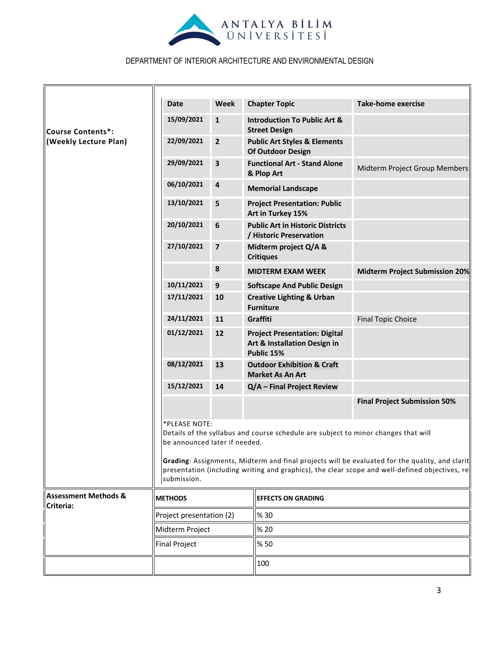

|                                              | <b>Date</b>                                                                                                                                                                                                                                                                                                                              | <b>Week</b>             | <b>Chapter Topic</b>                                                               | <b>Take-home exercise</b>             |  |  |
|----------------------------------------------|------------------------------------------------------------------------------------------------------------------------------------------------------------------------------------------------------------------------------------------------------------------------------------------------------------------------------------------|-------------------------|------------------------------------------------------------------------------------|---------------------------------------|--|--|
| <b>Course Contents*:</b>                     | 15/09/2021                                                                                                                                                                                                                                                                                                                               | $\mathbf{1}$            | <b>Introduction To Public Art &amp;</b><br><b>Street Design</b>                    |                                       |  |  |
| (Weekly Lecture Plan)                        | 22/09/2021                                                                                                                                                                                                                                                                                                                               | $\overline{2}$          | <b>Public Art Styles &amp; Elements</b><br>Of Outdoor Design                       |                                       |  |  |
|                                              | 29/09/2021                                                                                                                                                                                                                                                                                                                               | 3                       | <b>Functional Art - Stand Alone</b><br>& Plop Art                                  | Midterm Project Group Members         |  |  |
|                                              | 06/10/2021                                                                                                                                                                                                                                                                                                                               | $\overline{\mathbf{a}}$ | <b>Memorial Landscape</b>                                                          |                                       |  |  |
|                                              | 13/10/2021                                                                                                                                                                                                                                                                                                                               | 5                       | <b>Project Presentation: Public</b><br>Art in Turkey 15%                           |                                       |  |  |
|                                              | 20/10/2021                                                                                                                                                                                                                                                                                                                               | $6\phantom{1}6$         | <b>Public Art in Historic Districts</b><br>/ Historic Preservation                 |                                       |  |  |
|                                              | 27/10/2021                                                                                                                                                                                                                                                                                                                               | $\overline{\mathbf{z}}$ | Midterm project Q/A &<br><b>Critiques</b>                                          |                                       |  |  |
|                                              |                                                                                                                                                                                                                                                                                                                                          | 8                       | <b>MIDTERM EXAM WEEK</b>                                                           | <b>Midterm Project Submission 20%</b> |  |  |
|                                              | 10/11/2021                                                                                                                                                                                                                                                                                                                               | 9                       | <b>Softscape And Public Design</b>                                                 |                                       |  |  |
|                                              | 17/11/2021                                                                                                                                                                                                                                                                                                                               | 10                      | <b>Creative Lighting &amp; Urban</b><br><b>Furniture</b>                           |                                       |  |  |
|                                              | 24/11/2021                                                                                                                                                                                                                                                                                                                               | 11                      | Graffiti                                                                           | <b>Final Topic Choice</b>             |  |  |
|                                              | 01/12/2021                                                                                                                                                                                                                                                                                                                               | 12                      | <b>Project Presentation: Digital</b><br>Art & Installation Design in<br>Public 15% |                                       |  |  |
|                                              | 08/12/2021                                                                                                                                                                                                                                                                                                                               | 13                      | <b>Outdoor Exhibition &amp; Craft</b><br><b>Market As An Art</b>                   |                                       |  |  |
|                                              | 15/12/2021                                                                                                                                                                                                                                                                                                                               | 14                      | Q/A - Final Project Review                                                         |                                       |  |  |
|                                              |                                                                                                                                                                                                                                                                                                                                          |                         |                                                                                    | <b>Final Project Submission 50%</b>   |  |  |
|                                              | *PLEASE NOTE:<br>Details of the syllabus and course schedule are subject to minor changes that will<br>be announced later if needed.<br>Grading: Assignments, Midterm and final projects will be evaluated for the quality, and clarit<br>presentation (including writing and graphics), the clear scope and well-defined objectives, re |                         |                                                                                    |                                       |  |  |
|                                              | submission.                                                                                                                                                                                                                                                                                                                              |                         |                                                                                    |                                       |  |  |
| <b>Assessment Methods &amp;</b><br>Criteria: | <b>METHODS</b>                                                                                                                                                                                                                                                                                                                           |                         | <b>EFFECTS ON GRADING</b>                                                          |                                       |  |  |
|                                              | Project presentation (2)                                                                                                                                                                                                                                                                                                                 |                         | % 30                                                                               |                                       |  |  |
|                                              | Midterm Project                                                                                                                                                                                                                                                                                                                          |                         | % 20                                                                               |                                       |  |  |
|                                              | <b>Final Project</b>                                                                                                                                                                                                                                                                                                                     |                         | % 50                                                                               |                                       |  |  |
|                                              |                                                                                                                                                                                                                                                                                                                                          |                         | 100                                                                                |                                       |  |  |
|                                              |                                                                                                                                                                                                                                                                                                                                          |                         |                                                                                    |                                       |  |  |